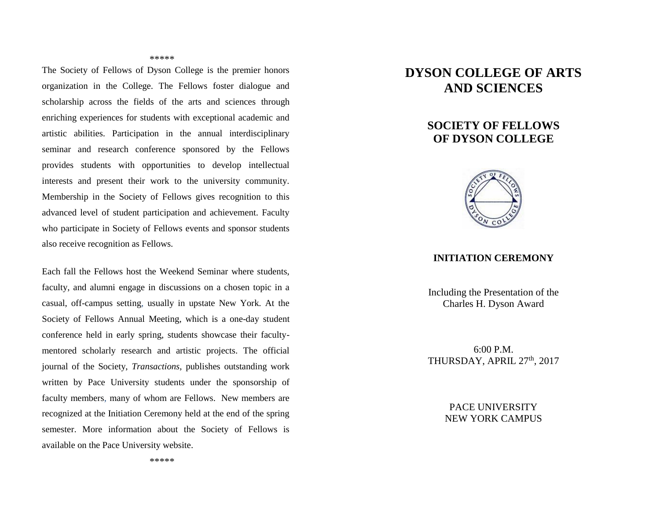#### \*\*\*\*\*

The Society of Fellows of Dyson College is the premier honors organization in the College. The Fellows foster dialogue and scholarship across the fields of the arts and sciences through enriching experiences for students with exceptional academic and artistic abilities. Participation in the annual interdisciplinary seminar and research conference sponsored by the Fellows provides students with opportunities to develop intellectual interests and present their work to the university community. Membership in the Society of Fellows gives recognition to this advanced level of student participation and achievement. Faculty who participate in Society of Fellows events and sponsor students also receive recognition as Fellows.

Each fall the Fellows host the Weekend Seminar where students, faculty, and alumni engage in discussions on a chosen topic in a casual, off-campus setting, usually in upstate New York. At the Society of Fellows Annual Meeting, which is a one-day student conference held in early spring, students showcase their facultymentored scholarly research and artistic projects. The official journal of the Society, *Transactions*, publishes outstanding work written by Pace University students under the sponsorship of faculty members, many of whom are Fellows. New members are recognized at the Initiation Ceremony held at the end of the spring semester. More information about the Society of Fellows is available on the Pace University website.

# **DYSON COLLEGE OF ARTS AND SCIENCES**

### **SOCIETY OF FELLOWS OF DYSON COLLEGE**



#### **INITIATION CEREMONY**

Including the Presentation of the Charles H. Dyson Award

6:00 P.M. THURSDAY, APRIL 27<sup>th</sup>, 2017

> PACE UNIVERSITY NEW YORK CAMPUS